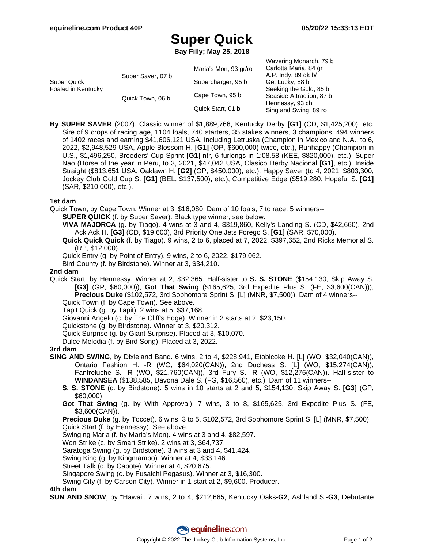# **Super Quick**

**Bay Filly; May 25, 2018**

|                                   |                   | Maria's Mon, 93 gr/ro | Wavering Monarch, 79 b<br>Carlotta Maria, 84 gr                                                                                          |
|-----------------------------------|-------------------|-----------------------|------------------------------------------------------------------------------------------------------------------------------------------|
| Super Quick<br>Foaled in Kentucky | Super Saver, 07 b | Supercharger, 95 b    | A.P. Indy, 89 dk b/<br>Get Lucky, 88 b<br>Seeking the Gold, 85 b<br>Seaside Attraction, 87 b<br>Hennessy, 93 ch<br>Sing and Swing, 89 ro |
|                                   | Quick Town, 06 b  | Cape Town, 95 b       |                                                                                                                                          |
|                                   |                   | Quick Start, 01 b     |                                                                                                                                          |

**By SUPER SAVER** (2007). Classic winner of \$1,889,766, Kentucky Derby **[G1]** (CD, \$1,425,200), etc. Sire of 9 crops of racing age, 1104 foals, 740 starters, 35 stakes winners, 3 champions, 494 winners of 1402 races and earning \$41,606,121 USA, including Letruska (Champion in Mexico and N.A., to 6, 2022, \$2,948,529 USA, Apple Blossom H. **[G1]** (OP, \$600,000) twice, etc.), Runhappy (Champion in U.S., \$1,496,250, Breeders' Cup Sprint **[G1]**-ntr, 6 furlongs in 1:08.58 (KEE, \$820,000), etc.), Super Nao (Horse of the year in Peru, to 3, 2021, \$47,042 USA, Clasico Derby Nacional **[G1]**, etc.), Inside Straight (\$813,651 USA, Oaklawn H. **[G2]** (OP, \$450,000), etc.), Happy Saver (to 4, 2021, \$803,300, Jockey Club Gold Cup S. **[G1]** (BEL, \$137,500), etc.), Competitive Edge (\$519,280, Hopeful S. **[G1]** (SAR, \$210,000), etc.).

### **1st dam**

Quick Town, by Cape Town. Winner at 3, \$16,080. Dam of 10 foals, 7 to race, 5 winners--

**SUPER QUICK** (f. by Super Saver). Black type winner, see below.

- **VIVA MAJORCA** (g. by Tiago). 4 wins at 3 and 4, \$319,860, Kelly's Landing S. (CD, \$42,660), 2nd Ack Ack H. **[G3]** (CD, \$19,600), 3rd Priority One Jets Forego S. **[G1]** (SAR, \$70,000).
- **Quick Quick Quick** (f. by Tiago). 9 wins, 2 to 6, placed at 7, 2022, \$397,652, 2nd Ricks Memorial S. (RP, \$12,000).

Quick Entry (g. by Point of Entry). 9 wins, 2 to 6, 2022, \$179,062.

Bird County (f. by Birdstone). Winner at 3, \$34,210.

#### **2nd dam**

Quick Start, by Hennessy. Winner at 2, \$32,365. Half-sister to **S. S. STONE** (\$154,130, Skip Away S. **[G3]** (GP, \$60,000)), **Got That Swing** (\$165,625, 3rd Expedite Plus S. (FE, \$3,600(CAN))), **Precious Duke** (\$102,572, 3rd Sophomore Sprint S. [L] (MNR, \$7,500)). Dam of 4 winners--

Quick Town (f. by Cape Town). See above.

Tapit Quick (g. by Tapit). 2 wins at 5, \$37,168.

Giovanni Angelo (c. by The Cliff's Edge). Winner in 2 starts at 2, \$23,150.

Quickstone (g. by Birdstone). Winner at 3, \$20,312.

Quick Surprise (g. by Giant Surprise). Placed at 3, \$10,070.

Dulce Melodia (f. by Bird Song). Placed at 3, 2022.

## **3rd dam**

- **SING AND SWING**, by Dixieland Band. 6 wins, 2 to 4, \$228,941, Etobicoke H. [L] (WO, \$32,040(CAN)), Ontario Fashion H. -R (WO, \$64,020(CAN)), 2nd Duchess S. [L] (WO, \$15,274(CAN)), Fanfreluche S. -R (WO, \$21,760(CAN)), 3rd Fury S. -R (WO, \$12,276(CAN)). Half-sister to **WINDANSEA** (\$138,585, Davona Dale S. (FG, \$16,560), etc.). Dam of 11 winners--
	- **S. S. STONE** (c. by Birdstone). 5 wins in 10 starts at 2 and 5, \$154,130, Skip Away S. **[G3]** (GP, \$60,000).
	- **Got That Swing** (g. by With Approval). 7 wins, 3 to 8, \$165,625, 3rd Expedite Plus S. (FE, \$3,600(CAN)).

**Precious Duke** (g. by Toccet). 6 wins, 3 to 5, \$102,572, 3rd Sophomore Sprint S. [L] (MNR, \$7,500). Quick Start (f. by Hennessy). See above.

Swinging Maria (f. by Maria's Mon). 4 wins at 3 and 4, \$82,597.

Won Strike (c. by Smart Strike). 2 wins at 3, \$64,737.

Saratoga Swing (g. by Birdstone). 3 wins at 3 and 4, \$41,424.

- Swing King (g. by Kingmambo). Winner at 4, \$33,146.
- Street Talk (c. by Capote). Winner at 4, \$20,675.

Singapore Swing (c. by Fusaichi Pegasus). Winner at 3, \$16,300.

Swing City (f. by Carson City). Winner in 1 start at 2, \$9,600. Producer.

#### **4th dam**

**SUN AND SNOW**, by \*Hawaii. 7 wins, 2 to 4, \$212,665, Kentucky Oaks**-G2**, Ashland S.**-G3**, Debutante